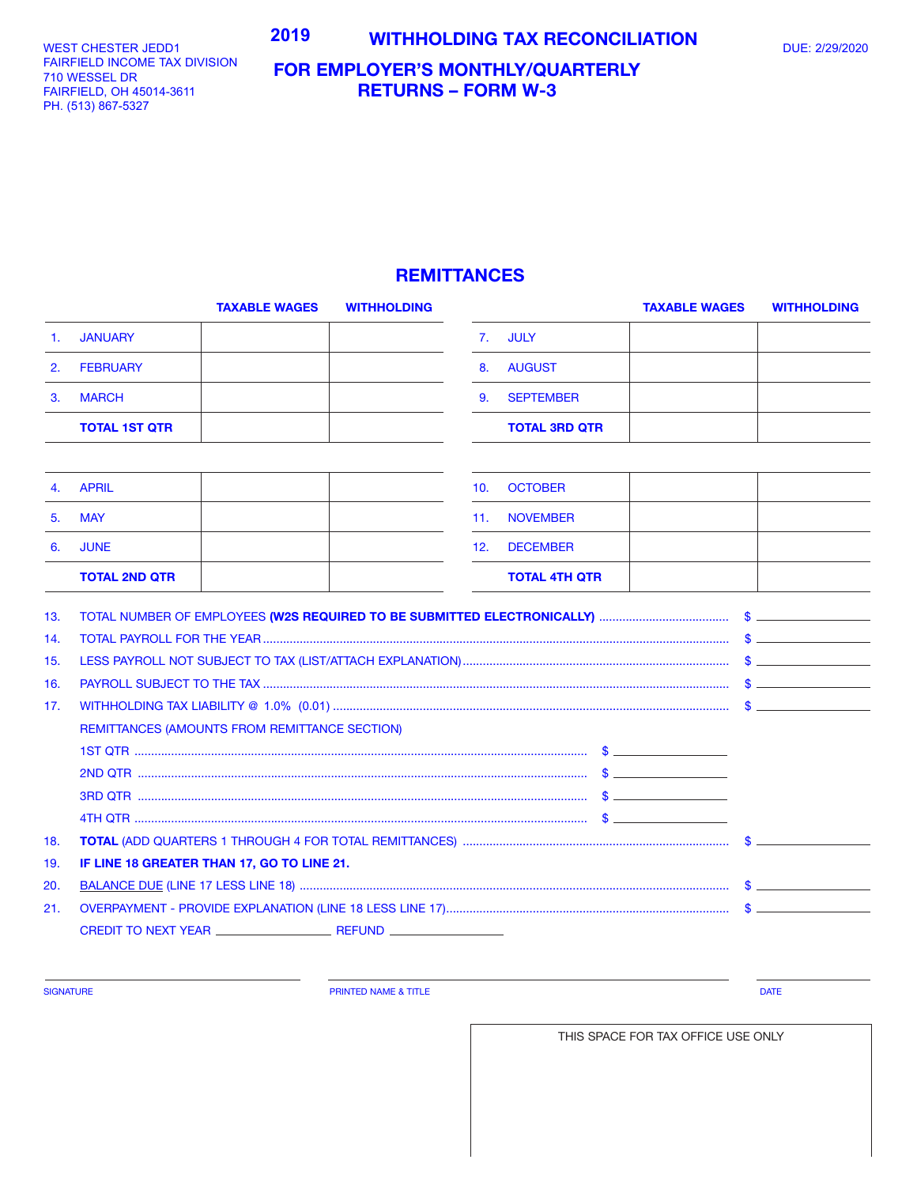WEST CHESTER JEDD1 FAIRFIELD INCOME TAX DIVISION 701 WESSEL DR 710 WESSEL DR FAIRFIELD, OH 45014-3611 FAIRFIELD, OH 45014-3611 PH. (513) 867-5327 PH. (513) 867-5327

## **FOR EMPLOYER'S MONTHLY/QUARTERLY RETURNS – FORM W-3**

## **REMITTANCES**

|     | <b>TAXABLE WAGES</b>                                                                                                                                                               | <b>WITHHOLDING</b> |     |                      | <b>TAXABLE WAGES</b> | <b>WITHHOLDING</b>          |
|-----|------------------------------------------------------------------------------------------------------------------------------------------------------------------------------------|--------------------|-----|----------------------|----------------------|-----------------------------|
| 1.  | <b>JANUARY</b>                                                                                                                                                                     |                    | 7.  | <b>JULY</b>          |                      |                             |
| 2.  | <b>FEBRUARY</b>                                                                                                                                                                    |                    | 8.  | <b>AUGUST</b>        |                      |                             |
| 3.  | <b>MARCH</b>                                                                                                                                                                       |                    | 9.  | <b>SEPTEMBER</b>     |                      |                             |
|     | <b>TOTAL 1ST QTR</b>                                                                                                                                                               |                    |     | <b>TOTAL 3RD QTR</b> |                      |                             |
|     |                                                                                                                                                                                    |                    |     |                      |                      |                             |
| 4.  | <b>APRIL</b>                                                                                                                                                                       |                    | 10. | <b>OCTOBER</b>       |                      |                             |
| 5.  | <b>MAY</b>                                                                                                                                                                         |                    | 11. | <b>NOVEMBER</b>      |                      |                             |
| 6.  | <b>JUNE</b>                                                                                                                                                                        |                    | 12. | <b>DECEMBER</b>      |                      |                             |
|     | <b>TOTAL 2ND QTR</b>                                                                                                                                                               |                    |     | <b>TOTAL 4TH QTR</b> |                      |                             |
| 13. |                                                                                                                                                                                    |                    |     |                      |                      |                             |
| 14. |                                                                                                                                                                                    |                    |     |                      |                      | $\mathsf S$ $\qquad \qquad$ |
| 15. |                                                                                                                                                                                    |                    |     |                      |                      |                             |
| 16. |                                                                                                                                                                                    |                    |     |                      |                      |                             |
| 17. |                                                                                                                                                                                    |                    |     |                      |                      |                             |
|     | REMITTANCES (AMOUNTS FROM REMITTANCE SECTION)                                                                                                                                      |                    |     |                      |                      |                             |
|     | 1ST QTR $\ldots$ $\ldots$ $\ldots$ $\ldots$ $\ldots$ $\ldots$ $\ldots$ $\ldots$ $\ldots$ $\ldots$ $\ldots$ $\ldots$ $\ldots$ $\ldots$ $\ldots$ $\ldots$ $\ldots$ $\ldots$ $\ldots$ |                    |     |                      |                      |                             |
|     |                                                                                                                                                                                    |                    |     |                      |                      |                             |
|     |                                                                                                                                                                                    |                    |     |                      |                      |                             |
|     |                                                                                                                                                                                    |                    |     |                      |                      |                             |
| 18. |                                                                                                                                                                                    |                    |     |                      |                      |                             |
| 19. | IF LINE 18 GREATER THAN 17, GO TO LINE 21.                                                                                                                                         |                    |     |                      |                      |                             |
| 20. |                                                                                                                                                                                    |                    |     |                      |                      |                             |
| 21. |                                                                                                                                                                                    |                    |     |                      |                      | $\mathsf S$ $\blacksquare$  |
|     |                                                                                                                                                                                    |                    |     |                      |                      |                             |
|     |                                                                                                                                                                                    |                    |     |                      |                      |                             |

SIGNATURE **Example 2008 CONSUMING THE PRINTED NAME & TITLE PRINTED NAME & TITLE DATE** 

THIS SPACE FOR TAX OFFICE USE ONLY